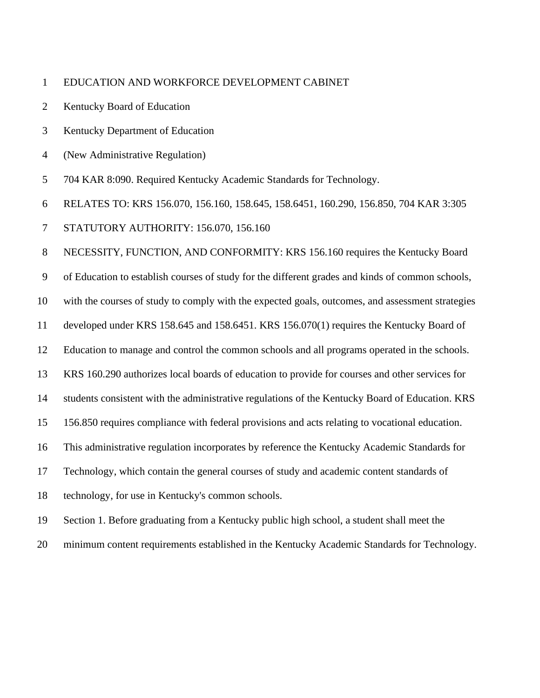## EDUCATION AND WORKFORCE DEVELOPMENT CABINET

- Kentucky Board of Education
- Kentucky Department of Education
- (New Administrative Regulation)
- 704 KAR 8:090. Required Kentucky Academic Standards for Technology.
- RELATES TO: KRS 156.070, 156.160, 158.645, 158.6451, 160.290, 156.850, 704 KAR 3:305
- STATUTORY AUTHORITY: 156.070, 156.160

NECESSITY, FUNCTION, AND CONFORMITY: KRS 156.160 requires the Kentucky Board

of Education to establish courses of study for the different grades and kinds of common schools,

with the courses of study to comply with the expected goals, outcomes, and assessment strategies

- developed under KRS 158.645 and 158.6451. KRS 156.070(1) requires the Kentucky Board of
- Education to manage and control the common schools and all programs operated in the schools.
- KRS 160.290 authorizes local boards of education to provide for courses and other services for
- students consistent with the administrative regulations of the Kentucky Board of Education. KRS
- 156.850 requires compliance with federal provisions and acts relating to vocational education.
- This administrative regulation incorporates by reference the Kentucky Academic Standards for
- Technology, which contain the general courses of study and academic content standards of
- technology, for use in Kentucky's common schools.
- Section 1. Before graduating from a Kentucky public high school, a student shall meet the
- minimum content requirements established in the Kentucky Academic Standards for Technology.